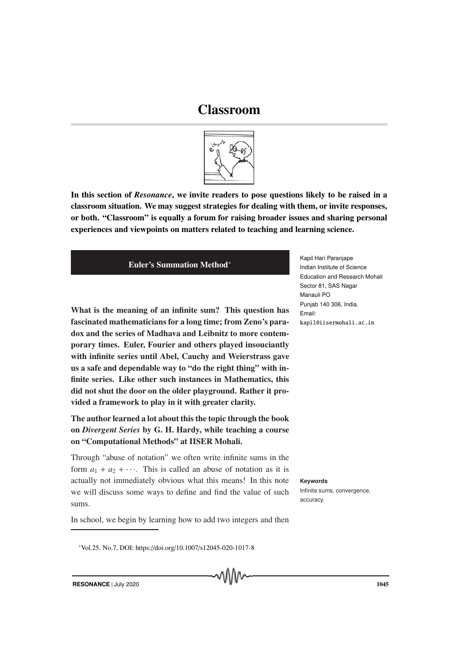# Classroom



In this section of *Resonance*, we invite readers to pose questions likely to be raised in a classroom situation. We may suggest strategies for dealing with them, or invite responses, or both. "Classroom" is equally a forum for raising broader issues and sharing personal experiences and viewpoints on matters related to teaching and learning science.

## Euler's Summation Method∗

What is the meaning of an infinite sum? This question has fascinated mathematicians for a long time; from Zeno's paradox and the series of Madhava and Leibnitz to more contemporary times. Euler, Fourier and others played insouciantly with infinite series until Abel, Cauchy and Weierstrass gave us a safe and dependable way to "do the right thing" with infinite series. Like other such instances in Mathematics, this did not shut the door on the older playground. Rather it provided a framework to play in it with greater clarity.

The author learned a lot about this the topic through the book on *Divergent Series* by G. H. Hardy, while teaching a course on "Computational Methods" at IISER Mohali.

Through "abuse of notation" we often write infinite sums in the form  $a_1 + a_2 + \cdots$ . This is called an abuse of notation as it is actually not immediately obvious what this means! In this note **Keywords** we will discuss some ways to define and find the value of such sums.

In school, we begin by learning how to add two integers and then

<sup>∗</sup>Vol.25, No.7, DOI: https://doi.org/10.1007/s12045-020-1017-8

Kapil Hari Paranjape Indian Institute of Science Education and Research Mohali Sector 81, SAS Nagar Manauli PO Punjab 140 306, India. Email: kapil@iisermohali.ac.in

Infinite sums, convergence, accuracy.

**RESONANCE** | July 2020 1045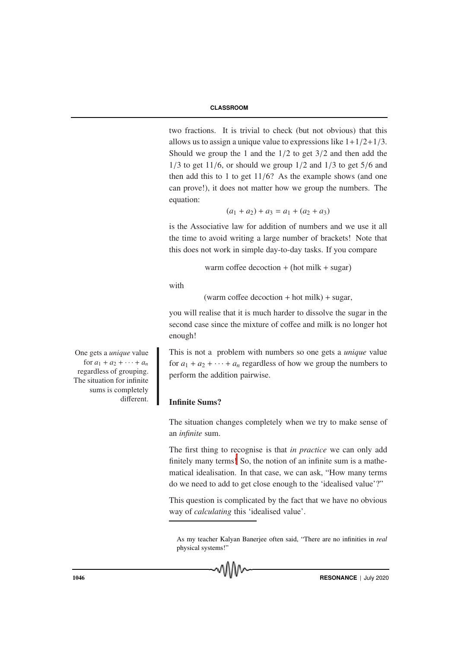## **CLASSROOM**

two fractions. It is trivial to check (but not obvious) that this allows us to assign a unique value to expressions like  $1+1/2+1/3$ . Should we group the 1 and the  $1/2$  to get  $3/2$  and then add the  $1/3$  to get  $11/6$ , or should we group  $1/2$  and  $1/3$  to get  $5/6$  and then add this to 1 to get  $11/6$ ? As the example shows (and one can prove!), it does not matter how we group the numbers. The equation:

$$
(a_1 + a_2) + a_3 = a_1 + (a_2 + a_3)
$$

is the Associative law for addition of numbers and we use it all the time to avoid writing a large number of brackets! Note that this does not work in simple day-to-day tasks. If you compare

warm coffee decoction + hot milk + sugar

with

(warm coffee decoction  $+$  hot milk)  $+$  sugar,

you will realise that it is much harder to dissolve the sugar in the second case since the mixture of coffee and milk is no longer hot enough!

This is not a problem with numbers so one gets a *unique* value for  $a_1 + a_2 + \cdots + a_n$  regardless of how we group the numbers to perform the addition pairwise.

# Infinite Sums?

The situation changes completely when we try to make sense of an *infinite* sum.

The first thing to recognise is that *in practice* we can only add finitely many terms! So, the notion of an infinite sum is a mathematical idealisation. In that case, we can ask, "How many terms do we need to add to get close enough to the 'idealised value'?"

This question is complicated by the fact that we have no obvious way of *calculating* this 'idealised value'.

As my teacher Kalyan Banerjee often said, "There are no infinities in *real* physical systems!"

One gets a *unique* value for  $a_1 + a_2 + \cdots + a_n$ regardless of grouping. The situation for infinite sums is completely different.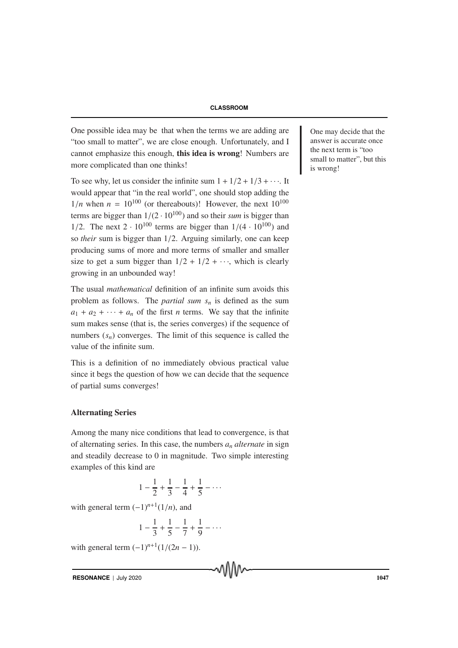One possible idea may be that when the terms we are adding are  $\Box$  One may decide that the "too small to matter", we are close enough. Unfortunately, and I cannot emphasize this enough, this idea is wrong! Numbers are more complicated than one thinks!

To see why, let us consider the infinite sum  $1 + 1/2 + 1/3 + \cdots$ . It would appear that "in the real world", one should stop adding the  $1/n$  when  $n = 10^{100}$  (or thereabouts)! However, the next  $10^{100}$ terms are bigger than  $1/(2 \cdot 10^{100})$  and so their *sum* is bigger than 1/2. The next  $2 \cdot 10^{100}$  terms are bigger than  $1/(4 \cdot 10^{100})$  and so *their* sum is bigger than 1/2. Arguing similarly, one can keep producing sums of more and more terms of smaller and smaller size to get a sum bigger than  $1/2 + 1/2 + \cdots$ , which is clearly growing in an unbounded way!

The usual *mathematical* definition of an infinite sum avoids this problem as follows. The *partial sum s<sup>n</sup>* is defined as the sum  $a_1 + a_2 + \cdots + a_n$  of the first *n* terms. We say that the infinite sum makes sense (that is, the series converges) if the sequence of numbers  $(s_n)$  converges. The limit of this sequence is called the value of the infinite sum.

This is a definition of no immediately obvious practical value since it begs the question of how we can decide that the sequence of partial sums converges!

## Alternating Series

Among the many nice conditions that lead to convergence, is that of alternating series. In this case, the numbers *a<sup>n</sup> alternate* in sign and steadily decrease to 0 in magnitude. Two simple interesting examples of this kind are

$$
1 - \frac{1}{2} + \frac{1}{3} - \frac{1}{4} + \frac{1}{5} - \dots
$$

with general term  $(-1)^{n+1}(1/n)$ , and

$$
1 - \frac{1}{3} + \frac{1}{5} - \frac{1}{7} + \frac{1}{9} - \dots
$$

with general term  $(-1)^{n+1}(1/(2n-1))$ .

**RESONANCE** | July 2020 1047

answer is accurate once the next term is "too small to matter", but this is wrong!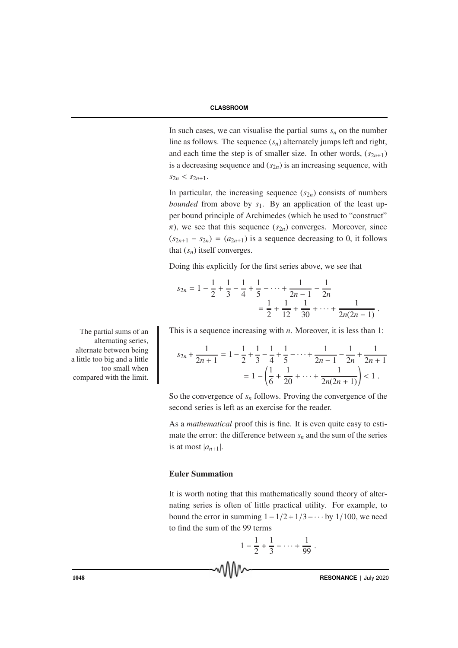In such cases, we can visualise the partial sums  $s_n$  on the number line as follows. The sequence (*sn*) alternately jumps left and right, and each time the step is of smaller size. In other words,  $(s_{2n+1})$ is a decreasing sequence and  $(s_{2n})$  is an increasing sequence, with  $s_{2n} < s_{2n+1}$ .

In particular, the increasing sequence  $(s_{2n})$  consists of numbers *bounded* from above by *s*1. By an application of the least upper bound principle of Archimedes (which he used to "construct"  $\pi$ ), we see that this sequence ( $s_{2n}$ ) converges. Moreover, since  $(s_{2n+1} - s_{2n}) = (a_{2n+1})$  is a sequence decreasing to 0, it follows that  $(s_n)$  itself converges.

Doing this explicitly for the first series above, we see that

$$
s_{2n} = 1 - \frac{1}{2} + \frac{1}{3} - \frac{1}{4} + \frac{1}{5} - \dots + \frac{1}{2n - 1} - \frac{1}{2n}
$$
  
=  $\frac{1}{2} + \frac{1}{12} + \frac{1}{30} + \dots + \frac{1}{2n(2n - 1)}$ .

The partial sums of an This is a sequence increasing with  $n$ . Moreover, it is less than 1:

$$
s_{2n} + \frac{1}{2n+1} = 1 - \frac{1}{2} + \frac{1}{3} - \frac{1}{4} + \frac{1}{5} - \dots + \frac{1}{2n-1} - \frac{1}{2n} + \frac{1}{2n+1}
$$
  
= 
$$
1 - \left(\frac{1}{6} + \frac{1}{20} + \dots + \frac{1}{2n(2n+1)}\right) < 1.
$$

So the convergence of  $s_n$  follows. Proving the convergence of the second series is left as an exercise for the reader.

As a *mathematical* proof this is fine. It is even quite easy to estimate the error: the difference between  $s_n$  and the sum of the series is at most  $|a_{n+1}|$ .

## Euler Summation

It is worth noting that this mathematically sound theory of alternating series is often of little practical utility. For example, to bound the error in summing  $1 - 1/2 + 1/3 - \cdots$  by 1/100, we need to find the sum of the 99 terms

$$
1-\frac{1}{2}+\frac{1}{3}-\cdots+\frac{1}{99}.
$$

alternating series, alternate between being a little too big and a little too small when compared with the limit.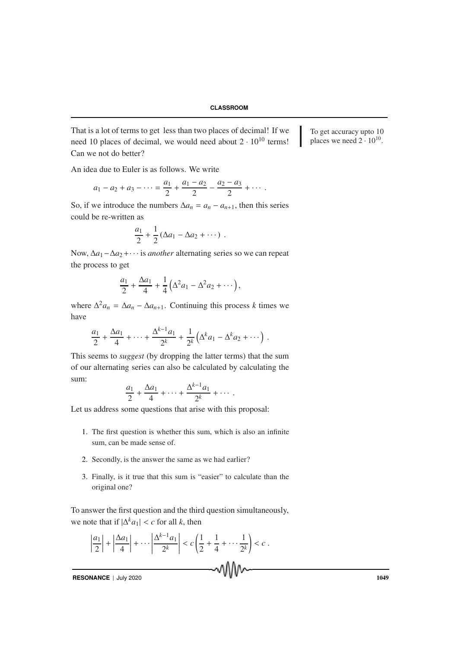That is a lot of terms to get less than two places of decimal! If we  $\Box$  To get accuracy upto 10 need 10 places of decimal, we would need about  $2 \cdot 10^{10}$  terms! Can we not do better?

places we need  $2 \cdot 10^{10}$ .

An idea due to Euler is as follows. We write

$$
a_1 - a_2 + a_3 - \cdots = \frac{a_1}{2} + \frac{a_1 - a_2}{2} - \frac{a_2 - a_3}{2} + \cdots
$$

So, if we introduce the numbers  $\Delta a_n = a_n - a_{n+1}$ , then this series could be re-written as

$$
\frac{a_1}{2} + \frac{1}{2} \left( \Delta a_1 - \Delta a_2 + \cdots \right) .
$$

Now, ∆*a*1−∆*a*2+· · · is *another* alternating series so we can repeat the process to get

$$
\frac{a_1}{2} + \frac{\Delta a_1}{4} + \frac{1}{4} (\Delta^2 a_1 - \Delta^2 a_2 + \cdots),
$$

where  $\Delta^2 a_n = \Delta a_n - \Delta a_{n+1}$ . Continuing this process *k* times we have

$$
\frac{a_1}{2} + \frac{\Delta a_1}{4} + \cdots + \frac{\Delta^{k-1} a_1}{2^k} + \frac{1}{2^k} \left( \Delta^k a_1 - \Delta^k a_2 + \cdots \right).
$$

This seems to *suggest* (by dropping the latter terms) that the sum of our alternating series can also be calculated by calculating the sum:

$$
\frac{a_1}{2} + \frac{\Delta a_1}{4} + \dots + \frac{\Delta^{k-1} a_1}{2^k} + \dotsb
$$

Let us address some questions that arise with this proposal:

- 1. The first question is whether this sum, which is also an infinite sum, can be made sense of.
- 2. Secondly, is the answer the same as we had earlier?
- 3. Finally, is it true that this sum is "easier" to calculate than the original one?

To answer the first question and the third question simultaneously, we note that if  $|\Delta^k a_1| < c$  for all *k*, then

$$
\left|\frac{a_1}{2}\right|+\left|\frac{\Delta a_1}{4}\right|+\cdots\left|\frac{\Delta^{k-1}a_1}{2^k}\right|
$$

**RESONANCE** | July 2020 1049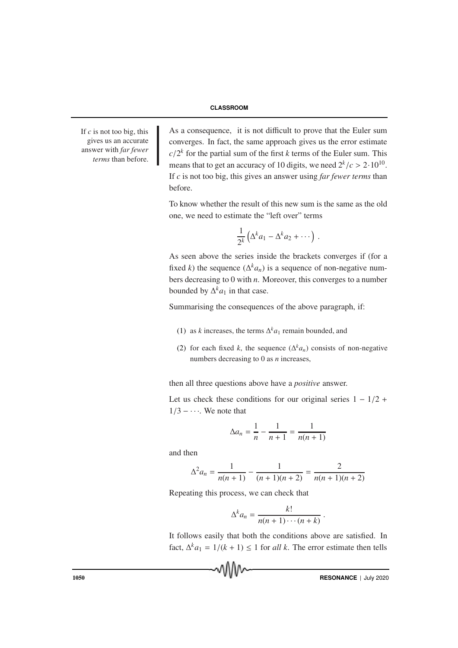#### **CLASSROOM**

If  $c$  is not too big, this gives us an accurate answer with *far fewer terms* than before. As a consequence, it is not difficult to prove that the Euler sum converges. In fact, the same approach gives us the error estimate  $c/2<sup>k</sup>$  for the partial sum of the first *k* terms of the Euler sum. This means that to get an accuracy of 10 digits, we need  $2^k/c > 2 \cdot 10^{10}$ . If *c* is not too big, this gives an answer using *far fewer terms* than before.

To know whether the result of this new sum is the same as the old one, we need to estimate the "left over" terms

$$
\frac{1}{2^k}\left(\Delta^k a_1 - \Delta^k a_2 + \cdots\right)
$$

.

As seen above the series inside the brackets converges if (for a fixed *k*) the sequence  $(\Delta^k a_n)$  is a sequence of non-negative numbers decreasing to 0 with *n*. Moreover, this converges to a number bounded by  $\Delta^k a_1$  in that case.

Summarising the consequences of the above paragraph, if:

- (1) as *k* increases, the terms  $\Delta^k a_1$  remain bounded, and
- (2) for each fixed *k*, the sequence  $(\Delta^k a_n)$  consists of non-negative numbers decreasing to 0 as *n* increases,

then all three questions above have a *positive* answer.

Let us check these conditions for our original series  $1 - 1/2 +$  $1/3 - \cdots$ . We note that

$$
\Delta a_n = \frac{1}{n} - \frac{1}{n+1} = \frac{1}{n(n+1)}
$$

and then

$$
\Delta^2 a_n = \frac{1}{n(n+1)} - \frac{1}{(n+1)(n+2)} = \frac{2}{n(n+1)(n+2)}
$$

Repeating this process, we can check that

$$
\Delta^k a_n = \frac{k!}{n(n+1)\cdots(n+k)}
$$

It follows easily that both the conditions above are satisfied. In fact,  $\Delta^k a_1 = 1/(k + 1) \le 1$  for *all k*. The error estimate then tells



.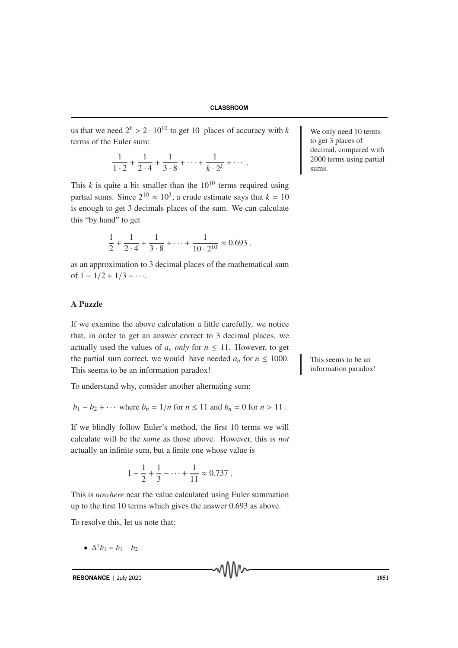us that we need  $2^k > 2 \cdot 10^{10}$  to get 10 places of accuracy with *k* We only need 10 terms terms of the Euler sum:

$$
\frac{1}{1\cdot 2} + \frac{1}{2\cdot 4} + \frac{1}{3\cdot 8} + \dots + \frac{1}{k\cdot 2^k} + \dots
$$

This  $k$  is quite a bit smaller than the  $10^{10}$  terms required using partial sums. Since  $2^{10} \approx 10^3$ , a crude estimate says that  $k = 10$ is enough to get 3 decimals places of the sum. We can calculate this "by hand" to get

$$
\frac{1}{2} + \frac{1}{2 \cdot 4} + \frac{1}{3 \cdot 8} + \dots + \frac{1}{10 \cdot 2^{10}} \approx 0.693.
$$

as an approximation to 3 decimal places of the mathematical sum of  $1 - 1/2 + 1/3 - \cdots$ .

# A Puzzle

If we examine the above calculation a little carefully, we notice that, in order to get an answer correct to 3 decimal places, we actually used the values of  $a_n$  *only* for  $n \leq 11$ . However, to get the partial sum correct, we would have needed  $a_n$  for  $n \leq 1000$ . This seems to be an This seems to be an information paradox!

To understand why, consider another alternating sum:

$$
b_1 - b_2 + \cdots
$$
 where  $b_n = 1/n$  for  $n \le 11$  and  $b_n = 0$  for  $n > 11$ .

If we blindly follow Euler's method, the first 10 terms we will calculate will be the *same* as those above. However, this is *not* actually an infinite sum, but a finite one whose value is

$$
1 - \frac{1}{2} + \frac{1}{3} - \dots + \frac{1}{11} \approx 0.737.
$$

This is *nowhere* near the value calculated using Euler summation up to the first 10 terms which gives the answer 0.693 as above.

To resolve this, let us note that:

•  $\Delta^1 b_1 = b_1 - b_2.$ 

to get 3 places of decimal, compared with 2000 terms using partial sums.

information paradox!

**RESONANCE** | July 2020 1051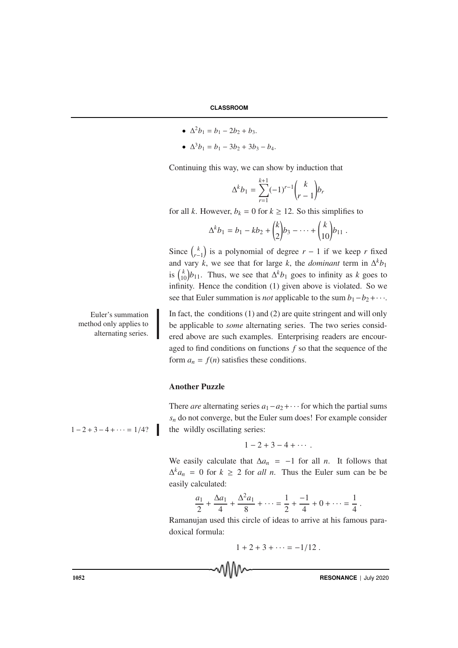- $\Delta^2 b_1 = b_1 2b_2 + b_3.$
- $\Delta^3 b_1 = b_1 3b_2 + 3b_3 b_4.$

Continuing this way, we can show by induction that

$$
\Delta^k b_1 = \sum_{r=1}^{k+1} (-1)^{r-1} {k \choose r-1} b_r
$$

for all *k*. However,  $b_k = 0$  for  $k \ge 12$ . So this simplifies to

$$
\Delta^k b_1 = b_1 - kb_2 + {k \choose 2} b_3 - \dots + {k \choose 10} b_{11}.
$$

Since  $\binom{k}{r}$  $\binom{k}{r-1}$  is a polynomial of degree  $r-1$  if we keep *r* fixed and vary *k*, we see that for large *k*, the *dominant* term in  $\Delta^k b_1$ is  $\binom{k}{10}b_{11}$ . Thus, we see that  $\Delta^k b_1$  goes to infinity as *k* goes to infinity. Hence the condition (1) given above is violated. So we see that Euler summation is *not* applicable to the sum  $b_1 - b_2 + \cdots$ .

Euler's summation method only applies to alternating series.

In fact, the conditions  $(1)$  and  $(2)$  are quite stringent and will only be applicable to *some* alternating series. The two series considered above are such examples. Enterprising readers are encouraged to find conditions on functions *f* so that the sequence of the form  $a_n = f(n)$  satisfies these conditions.

# Another Puzzle

There *are* alternating series  $a_1 - a_2 + \cdots$  for which the partial sums  $s_n$  do not converge, but the Euler sum does! For example consider  $1 - 2 + 3 - 4 + \cdots = 1/4$ ? the wildly oscillating series:

$$
1-2+3-4+\cdots.
$$

We easily calculate that  $\Delta a_n = -1$  for all *n*. It follows that  $\Delta^k a_n = 0$  for  $k \geq 2$  for *all n*. Thus the Euler sum can be be easily calculated:

$$
\frac{a_1}{2} + \frac{\Delta a_1}{4} + \frac{\Delta^2 a_1}{8} + \dots = \frac{1}{2} + \frac{-1}{4} + 0 + \dots = \frac{1}{4}.
$$

Ramanujan used this circle of ideas to arrive at his famous paradoxical formula:

$$
1 + 2 + 3 + \cdots = -1/12.
$$